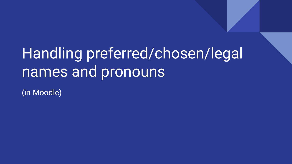# Handling preferred/chosen/legal names and pronouns

(in Moodle)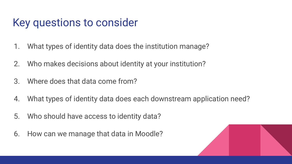#### Key questions to consider

- 1. What types of identity data does the institution manage?
- 2. Who makes decisions about identity at your institution?
- 3. Where does that data come from?
- 4. What types of identity data does each downstream application need?
- 5. Who should have access to identity data?
- 6. How can we manage that data in Moodle?

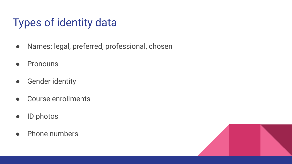# Types of identity data

- Names: legal, preferred, professional, chosen
- Pronouns
- Gender identity
- Course enrollments
- ID photos
- Phone numbers

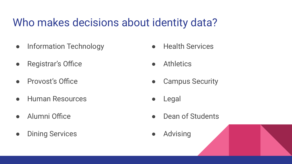### Who makes decisions about identity data?

- Information Technology
- Registrar's Office
- Provost's Office
- Human Resources
- Alumni Office
- Dining Services
- Health Services
- Athletics
- Campus Security
- Legal
- Dean of Students
- Advising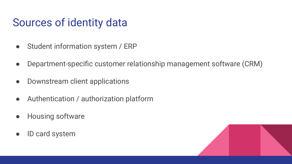### Sources of identity data

- Student information system / ERP
- Department-specific customer relationship management software (CRM)
- Downstream client applications
- Authentication / authorization platform
- Housing software
- ID card system

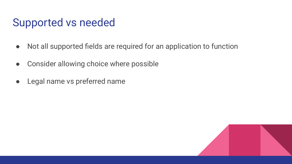#### Supported vs needed

- Not all supported fields are required for an application to function
- Consider allowing choice where possible
- Legal name vs preferred name

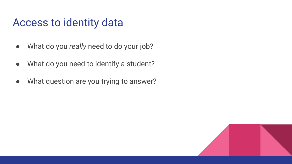#### Access to identity data

- What do you *really* need to do your job?
- What do you need to identify a student?
- What question are you trying to answer?

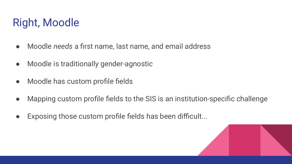# Right, Moodle

- Moodle *needs* a first name, last name, and email address
- Moodle is traditionally gender-agnostic
- Moodle has custom profile fields
- Mapping custom profile fields to the SIS is an institution-specific challenge
- Exposing those custom profile fields has been difficult...

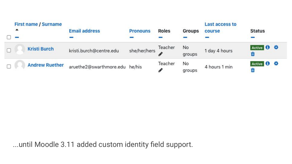| <b>First name / Surname</b><br>$\blacktriangle$ | <b>Email address</b>           | <b>Pronouns</b> | <b>Roles</b> | Groups       | Last access to<br>course | <b>Status</b> |  |
|-------------------------------------------------|--------------------------------|-----------------|--------------|--------------|--------------------------|---------------|--|
|                                                 |                                |                 |              |              |                          |               |  |
| <b>Kristi Burch</b>                             | kristi.burch@centre.edu        | she/her/hers    | Teacher      | No<br>groups | 1 day 4 hours            | Active 0 0    |  |
| <b>Andrew Ruether</b>                           | aruethe2@swarthmore.edu he/his |                 | Teacher      | No<br>groups | 4 hours 1 min            | Active 1      |  |

...until Moodle 3.11 added custom identity field support.